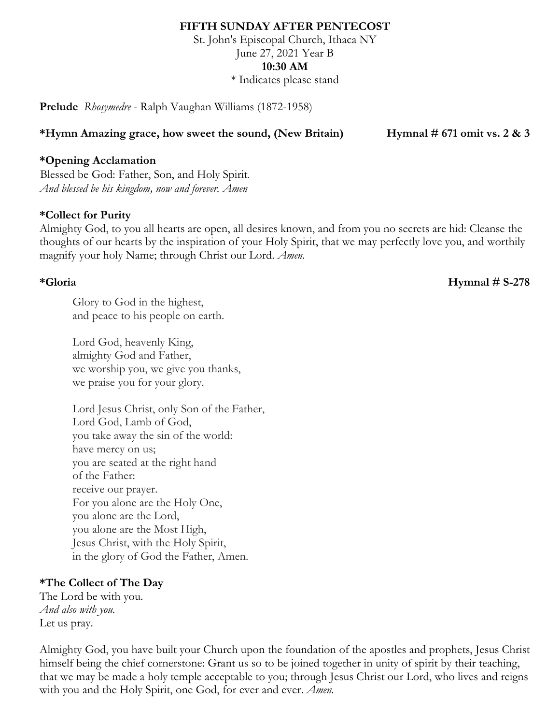### **FIFTH SUNDAY AFTER PENTECOST**

St. John's Episcopal Church, Ithaca NY June 27, 2021 Year B **10:30 AM** \* Indicates please stand

**Prelude** *Rhosymedre* - Ralph Vaughan Williams (1872-1958)

### **\*Hymn Amazing grace, how sweet the sound, (New Britain) Hymnal # 671 omit vs. 2 & 3**

### **\*Opening Acclamation**

Blessed be God: Father, Son, and Holy Spirit. *And blessed be his kingdom, now and forever. Amen*

### **\*Collect for Purity**

Almighty God, to you all hearts are open, all desires known, and from you no secrets are hid: Cleanse the thoughts of our hearts by the inspiration of your Holy Spirit, that we may perfectly love you, and worthily magnify your holy Name; through Christ our Lord. *Amen.*

**\*Gloria Hymnal # S-278**

Glory to God in the highest, and peace to his people on earth.

Lord God, heavenly King, almighty God and Father, we worship you, we give you thanks, we praise you for your glory.

Lord Jesus Christ, only Son of the Father, Lord God, Lamb of God, you take away the sin of the world: have mercy on us; you are seated at the right hand of the Father: receive our prayer. For you alone are the Holy One, you alone are the Lord, you alone are the Most High, Jesus Christ, with the Holy Spirit, in the glory of God the Father, Amen.

# **\*The Collect of The Day**

The Lord be with you. *And also with you.* Let us pray.

Almighty God, you have built your Church upon the foundation of the apostles and prophets, Jesus Christ himself being the chief cornerstone: Grant us so to be joined together in unity of spirit by their teaching, that we may be made a holy temple acceptable to you; through Jesus Christ our Lord, who lives and reigns with you and the Holy Spirit, one God, for ever and ever. *Amen.*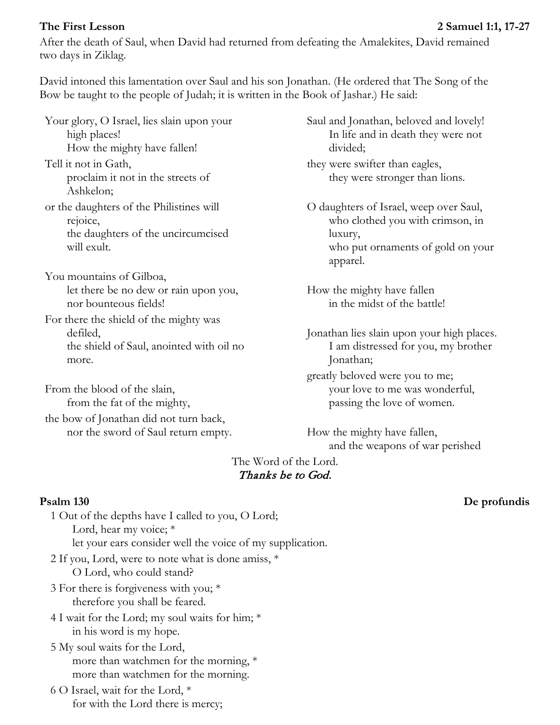Ashkelon;

After the death of Saul, when David had returned from defeating the Amalekites, David remained two days in Ziklag.

David intoned this lamentation over Saul and his son Jonathan. (He ordered that The Song of the Bow be taught to the people of Judah; it is written in the Book of Jashar.) He said:

Your glory, O Israel, lies slain upon your high places! How the mighty have fallen! Tell it not in Gath, proclaim it not in the streets of

or the daughters of the Philistines will rejoice, the daughters of the uncircumcised will exult.

You mountains of Gilboa, let there be no dew or rain upon you, nor bounteous fields!

For there the shield of the mighty was defiled, the shield of Saul, anointed with oil no more.

From the blood of the slain, from the fat of the mighty, the bow of Jonathan did not turn back, nor the sword of Saul return empty. Saul and Jonathan, beloved and lovely! In life and in death they were not divided;

they were swifter than eagles, they were stronger than lions.

O daughters of Israel, weep over Saul, who clothed you with crimson, in luxury, who put ornaments of gold on your apparel.

How the mighty have fallen in the midst of the battle!

Jonathan lies slain upon your high places. I am distressed for you, my brother Jonathan;

greatly beloved were you to me; your love to me was wonderful, passing the love of women.

How the mighty have fallen, and the weapons of war perished

# The Word of the Lord. Thanks be to God.

**Psalm 130 De profundis**

1 Out of the depths have I called to you, O Lord; Lord, hear my voice;  $*$ let your ears consider well the voice of my supplication.

- 2 If you, Lord, were to note what is done amiss, \* O Lord, who could stand?
- 3 For there is forgiveness with you; \* therefore you shall be feared.
- 4 I wait for the Lord; my soul waits for him; \* in his word is my hope.
- 5 My soul waits for the Lord, more than watchmen for the morning, \* more than watchmen for the morning.
- 6 O Israel, wait for the Lord, \* for with the Lord there is mercy;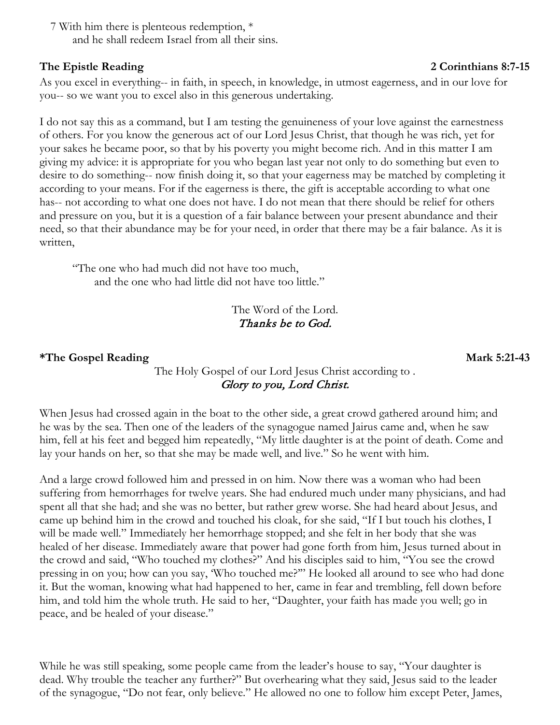7 With him there is plenteous redemption, \* and he shall redeem Israel from all their sins.

# **The Epistle Reading 2 Corinthians 8:7-15**

As you excel in everything-- in faith, in speech, in knowledge, in utmost eagerness, and in our love for you-- so we want you to excel also in this generous undertaking.

I do not say this as a command, but I am testing the genuineness of your love against the earnestness of others. For you know the generous act of our Lord Jesus Christ, that though he was rich, yet for your sakes he became poor, so that by his poverty you might become rich. And in this matter I am giving my advice: it is appropriate for you who began last year not only to do something but even to desire to do something-- now finish doing it, so that your eagerness may be matched by completing it according to your means. For if the eagerness is there, the gift is acceptable according to what one has-- not according to what one does not have. I do not mean that there should be relief for others and pressure on you, but it is a question of a fair balance between your present abundance and their need, so that their abundance may be for your need, in order that there may be a fair balance. As it is written,

"The one who had much did not have too much, and the one who had little did not have too little."

# The Word of the Lord. Thanks be to God.

# **\*The Gospel Reading Mark 5:21-43**

# The Holy Gospel of our Lord Jesus Christ according to . Glory to you, Lord Christ.

When Jesus had crossed again in the boat to the other side, a great crowd gathered around him; and he was by the sea. Then one of the leaders of the synagogue named Jairus came and, when he saw him, fell at his feet and begged him repeatedly, "My little daughter is at the point of death. Come and lay your hands on her, so that she may be made well, and live." So he went with him.

And a large crowd followed him and pressed in on him. Now there was a woman who had been suffering from hemorrhages for twelve years. She had endured much under many physicians, and had spent all that she had; and she was no better, but rather grew worse. She had heard about Jesus, and came up behind him in the crowd and touched his cloak, for she said, "If I but touch his clothes, I will be made well." Immediately her hemorrhage stopped; and she felt in her body that she was healed of her disease. Immediately aware that power had gone forth from him, Jesus turned about in the crowd and said, "Who touched my clothes?" And his disciples said to him, "You see the crowd pressing in on you; how can you say, 'Who touched me?'" He looked all around to see who had done it. But the woman, knowing what had happened to her, came in fear and trembling, fell down before him, and told him the whole truth. He said to her, "Daughter, your faith has made you well; go in peace, and be healed of your disease."

While he was still speaking, some people came from the leader's house to say, "Your daughter is dead. Why trouble the teacher any further?" But overhearing what they said, Jesus said to the leader of the synagogue, "Do not fear, only believe." He allowed no one to follow him except Peter, James,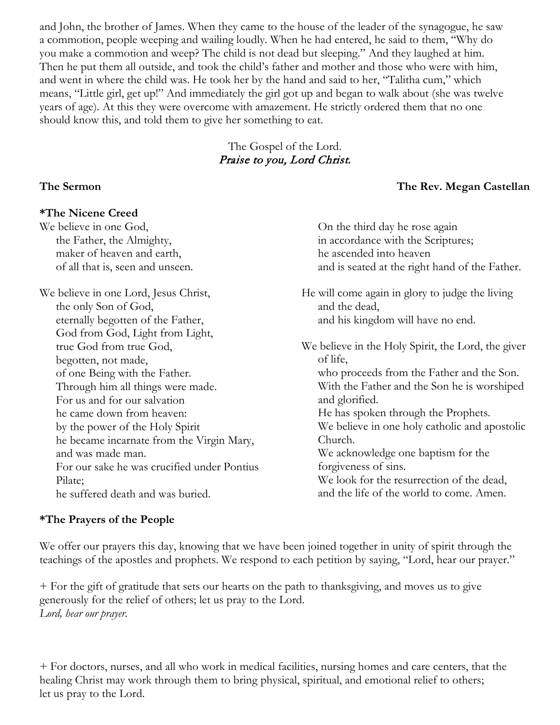and John, the brother of James. When they came to the house of the leader of the synagogue, he saw a commotion, people weeping and wailing loudly. When he had entered, he said to them, "Why do you make a commotion and weep? The child is not dead but sleeping." And they laughed at him. Then he put them all outside, and took the child's father and mother and those who were with him, and went in where the child was. He took her by the hand and said to her, "Talitha cum," which means, "Little girl, get up!" And immediately the girl got up and began to walk about (she was twelve years of age). At this they were overcome with amazement. He strictly ordered them that no one should know this, and told them to give her something to eat.

# The Gospel of the Lord. Praise to you, Lord Christ.

# **\*The Nicene Creed**

We believe in one God, the Father, the Almighty, maker of heaven and earth, of all that is, seen and unseen.

We believe in one Lord, Jesus Christ, the only Son of God, eternally begotten of the Father, God from God, Light from Light, true God from true God, begotten, not made, of one Being with the Father. Through him all things were made. For us and for our salvation he came down from heaven: by the power of the Holy Spirit he became incarnate from the Virgin Mary, and was made man. For our sake he was crucified under Pontius Pilate; he suffered death and was buried.

in accordance with the Scriptures; he ascended into heaven and is seated at the right hand of the Father. He will come again in glory to judge the living and the dead, and his kingdom will have no end. We believe in the Holy Spirit, the Lord, the giver of life, who proceeds from the Father and the Son. With the Father and the Son he is worshiped and glorified. He has spoken through the Prophets. We believe in one holy catholic and apostolic Church. We acknowledge one baptism for the forgiveness of sins. We look for the resurrection of the dead, and the life of the world to come. Amen.

On the third day he rose again

# **\*The Prayers of the People**

We offer our prayers this day, knowing that we have been joined together in unity of spirit through the teachings of the apostles and prophets. We respond to each petition by saying, "Lord, hear our prayer."

+ For the gift of gratitude that sets our hearts on the path to thanksgiving, and moves us to give generously for the relief of others; let us pray to the Lord. *Lord, hear our prayer.*

+ For doctors, nurses, and all who work in medical facilities, nursing homes and care centers, that the healing Christ may work through them to bring physical, spiritual, and emotional relief to others; let us pray to the Lord.

# **The Sermon The Rev. Megan Castellan**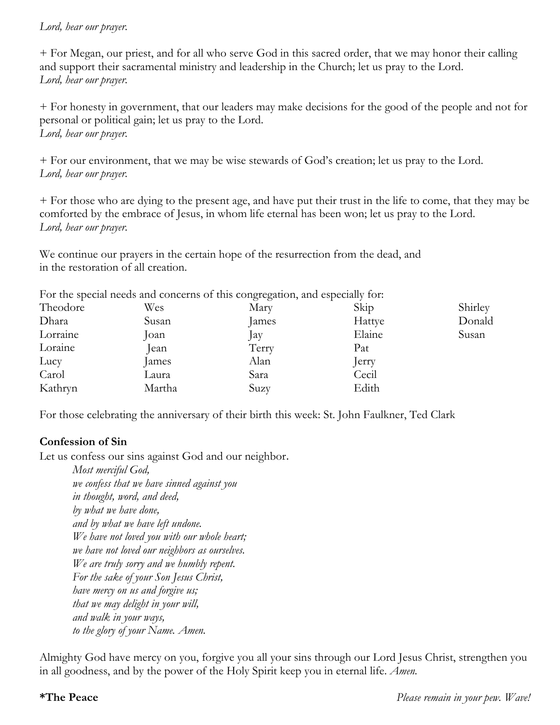### *Lord, hear our prayer.*

+ For Megan, our priest, and for all who serve God in this sacred order, that we may honor their calling and support their sacramental ministry and leadership in the Church; let us pray to the Lord. *Lord, hear our prayer.*

+ For honesty in government, that our leaders may make decisions for the good of the people and not for personal or political gain; let us pray to the Lord. *Lord, hear our prayer.*

+ For our environment, that we may be wise stewards of God's creation; let us pray to the Lord. *Lord, hear our prayer.*

+ For those who are dying to the present age, and have put their trust in the life to come, that they may be comforted by the embrace of Jesus, in whom life eternal has been won; let us pray to the Lord. *Lord, hear our prayer.*

We continue our prayers in the certain hope of the resurrection from the dead, and in the restoration of all creation.

For the special needs and concerns of this congregation, and especially for:

| Theodore | Wes    | Mary      | Skip   | Shirley |
|----------|--------|-----------|--------|---------|
| Dhara    | Susan  | James     | Hattye | Donald  |
| Lorraine | Joan   | $\int ay$ | Elaine | Susan   |
| Loraine  | lean   | Terry     | Pat    |         |
| Lucy     | James  | Alan      | erry   |         |
| Carol    | Laura  | Sara      | Cecil  |         |
| Kathryn  | Martha | Suzy      | Edith  |         |

For those celebrating the anniversary of their birth this week: St. John Faulkner, Ted Clark

# **Confession of Sin**

Let us confess our sins against God and our neighbor.

*Most merciful God, we confess that we have sinned against you in thought, word, and deed, by what we have done, and by what we have left undone. We have not loved you with our whole heart; we have not loved our neighbors as ourselves. We are truly sorry and we humbly repent. For the sake of your Son Jesus Christ, have mercy on us and forgive us; that we may delight in your will, and walk in your ways, to the glory of your Name. Amen.*

Almighty God have mercy on you, forgive you all your sins through our Lord Jesus Christ, strengthen you in all goodness, and by the power of the Holy Spirit keep you in eternal life. *Amen.*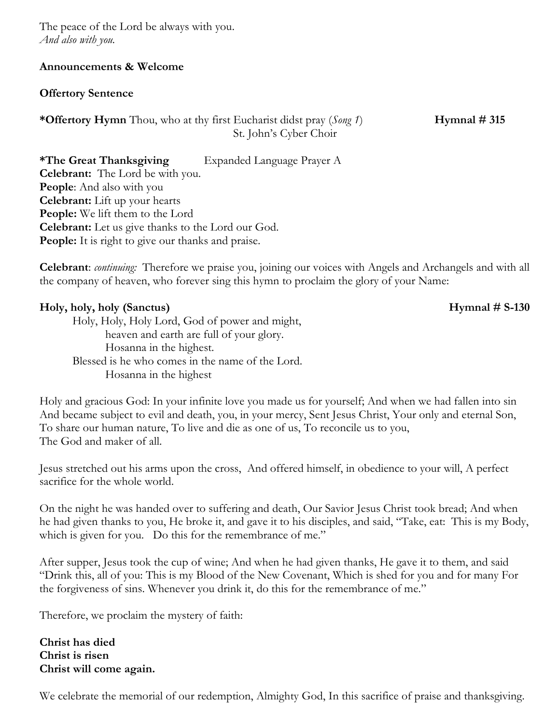The peace of the Lord be always with you. *And also with you.*

### **Announcements & Welcome**

# **Offertory Sentence**

**\*Offertory Hymn** Thou, who at thy first Eucharist didst pray (*Song 1*) **Hymnal # 315** St. John's Cyber Choir

**\*The Great Thanksgiving** Expanded Language Prayer A

**Celebrant:** The Lord be with you. **People**: And also with you **Celebrant:** Lift up your hearts **People:** We lift them to the Lord **Celebrant:** Let us give thanks to the Lord our God. **People:** It is right to give our thanks and praise.

**Celebrant**: *continuing:* Therefore we praise you, joining our voices with Angels and Archangels and with all the company of heaven, who forever sing this hymn to proclaim the glory of your Name:

# **Holy, holy, holy (Sanctus) Hymnal # S-130**

Holy, Holy, Holy Lord, God of power and might, heaven and earth are full of your glory. Hosanna in the highest. Blessed is he who comes in the name of the Lord. Hosanna in the highest

Holy and gracious God: In your infinite love you made us for yourself; And when we had fallen into sin And became subject to evil and death, you, in your mercy, Sent Jesus Christ, Your only and eternal Son, To share our human nature, To live and die as one of us, To reconcile us to you, The God and maker of all.

Jesus stretched out his arms upon the cross, And offered himself, in obedience to your will, A perfect sacrifice for the whole world.

On the night he was handed over to suffering and death, Our Savior Jesus Christ took bread; And when he had given thanks to you, He broke it, and gave it to his disciples, and said, "Take, eat: This is my Body, which is given for you. Do this for the remembrance of me."

After supper, Jesus took the cup of wine; And when he had given thanks, He gave it to them, and said "Drink this, all of you: This is my Blood of the New Covenant, Which is shed for you and for many For the forgiveness of sins. Whenever you drink it, do this for the remembrance of me."

Therefore, we proclaim the mystery of faith:

**Christ has died Christ is risen Christ will come again.**

We celebrate the memorial of our redemption, Almighty God, In this sacrifice of praise and thanksgiving.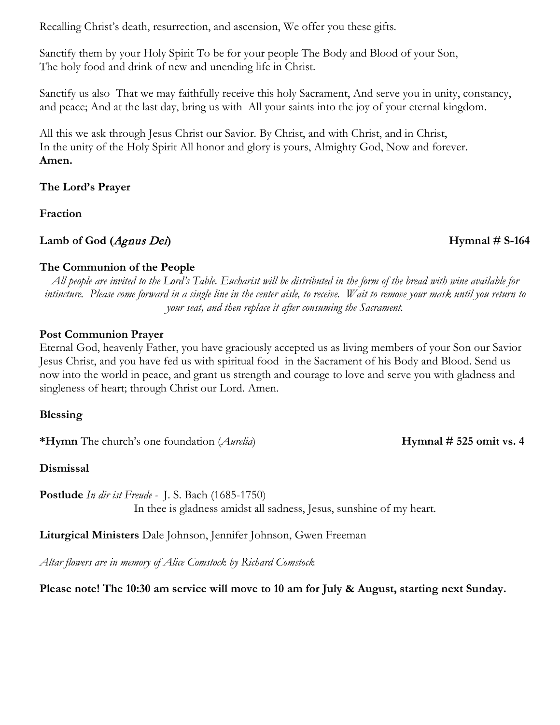Recalling Christ's death, resurrection, and ascension, We offer you these gifts.

Sanctify them by your Holy Spirit To be for your people The Body and Blood of your Son, The holy food and drink of new and unending life in Christ.

Sanctify us also That we may faithfully receive this holy Sacrament, And serve you in unity, constancy, and peace; And at the last day, bring us with All your saints into the joy of your eternal kingdom.

All this we ask through Jesus Christ our Savior. By Christ, and with Christ, and in Christ, In the unity of the Holy Spirit All honor and glory is yours, Almighty God, Now and forever. **Amen.**

**The Lord's Prayer**

**Fraction**

**Lamb of God (**Agnus Dei**) Hymnal # S-164**

# **The Communion of the People**

*All people are invited to the Lord's Table. Eucharist will be distributed in the form of the bread with wine available for intincture. Please come forward in a single line in the center aisle, to receive. Wait to remove your mask until you return to your seat, and then replace it after consuming the Sacrament.* 

# **Post Communion Prayer**

Eternal God, heavenly Father, you have graciously accepted us as living members of your Son our Savior Jesus Christ, and you have fed us with spiritual food in the Sacrament of his Body and Blood. Send us now into the world in peace, and grant us strength and courage to love and serve you with gladness and singleness of heart; through Christ our Lord. Amen.

# **Blessing**

**\*Hymn** The church's one foundation (*Aurelia*) **Hymnal # 525 omit vs. 4**

**Dismissal**

**Postlude** *In dir ist Freude -* J. S. Bach (1685-1750) In thee is gladness amidst all sadness, Jesus, sunshine of my heart.

**Liturgical Ministers** Dale Johnson, Jennifer Johnson, Gwen Freeman

*Altar flowers are in memory of Alice Comstock by Richard Comstock*

**Please note! The 10:30 am service will move to 10 am for July & August, starting next Sunday.**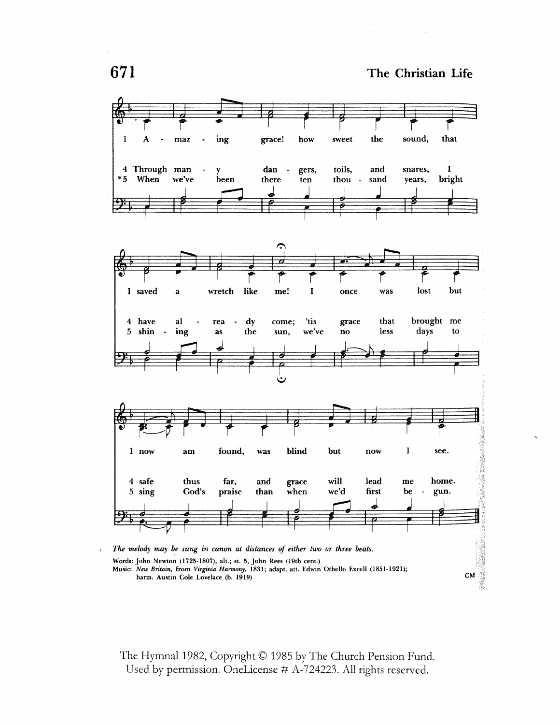$\hat{A}$ 



The Hymnal 1982, Copyright © 1985 by The Church Pension Fund. Used by permission. OneLicense # A-724223. All rights reserved.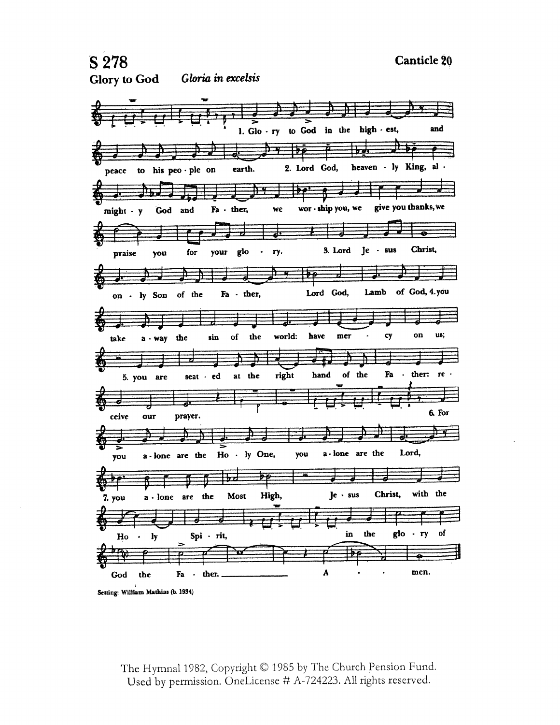

The Hymnal 1982, Copyright C 1985 by The Church Pension Fund. Used by permission. OneLicense # A-724223. All rights reserved.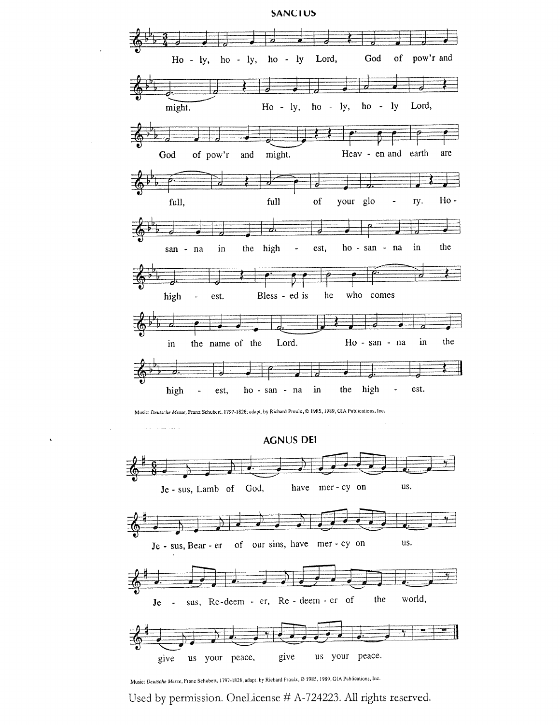### **SANCIUS**



Music: Deutsche Messe, Franz Schubert, 1797-1828; adapt. by Richard Proulx, © 1985, 1989, GIA Publications, Inc.

 $\ddot{\phantom{0}}$ 

**AGNUS DEI** have mer-cy on Je - sus, Lamb of God, us. Je - sus, Bear - er of our sins, have mer - cy on us. world, sus, Re-deem - er, Re - deem - er of the  $Je$  us your peace. us your peace, give

Music: Deutsche Messe, Franz Schubert, 1797-1828, adapt. by Richard Proulx, © 1985, 1989, GIA Publications, Inc.

give

Used by permission. OneLicense # A-724223. All rights reserved.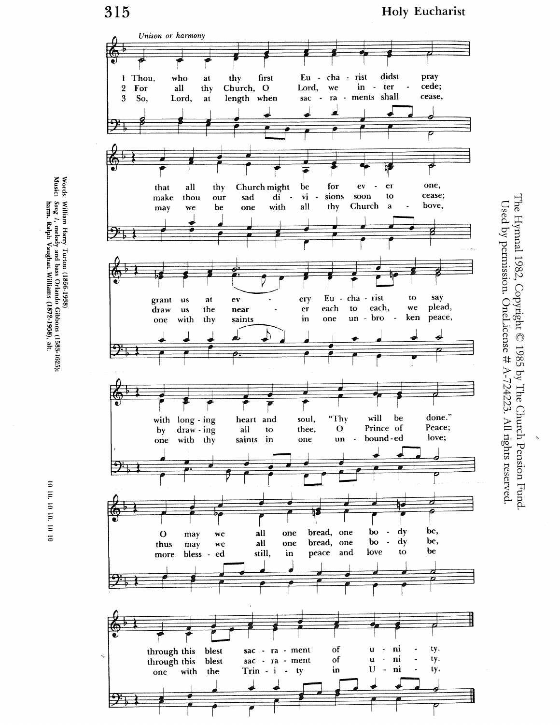**Holy Eucharist** 



The Hymnal 1982, Copyright  $\copyright$  1985 by The Church Pension Fund. Used by permission. One<br>License  $\#$  A-724223. All rights reserved.

Words: William Harry Turton (1856-1938)<br>Music: *Song 1*, melody and bass Orlando Gibbons (1583-1625);<br>Music: *Song 1*, melody and bass Orlando Gibbons (1583-1625);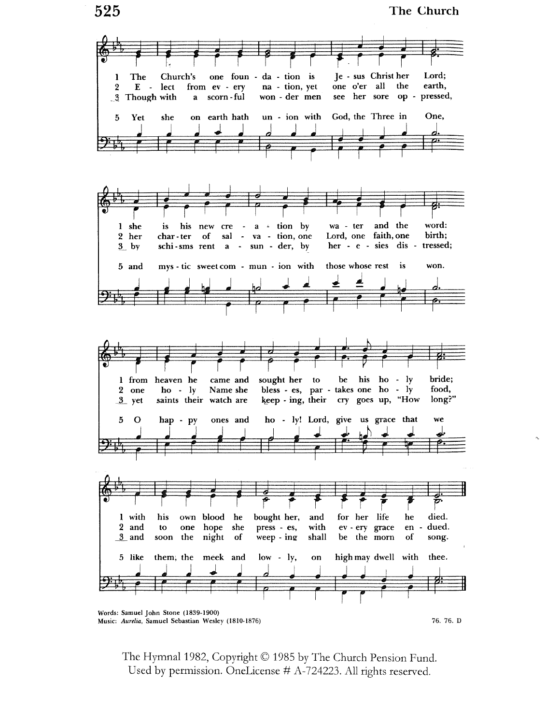The Church



The Hymnal 1982, Copyright © 1985 by The Church Pension Fund. Used by permission. OneLicense # A-724223. All rights reserved.

525